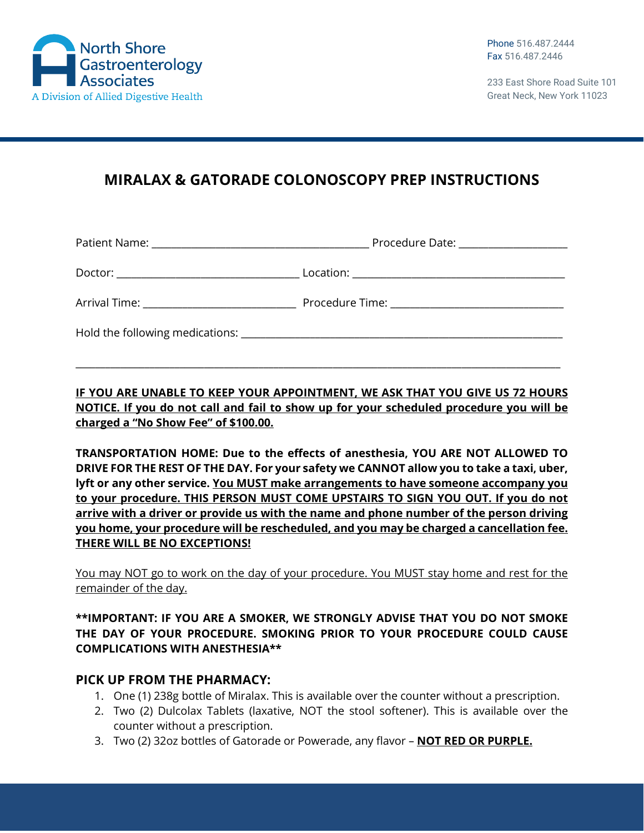

233 East Shore Road Suite 101 Great Neck, New York 11023

# **MIRALAX & GATORADE COLONOSCOPY PREP INSTRUCTIONS**

| Arrival Time: _______________________________ |  |
|-----------------------------------------------|--|
|                                               |  |

**IF YOU ARE UNABLE TO KEEP YOUR APPOINTMENT, WE ASK THAT YOU GIVE US 72 HOURS NOTICE. If you do not call and fail to show up for your scheduled procedure you will be charged a "No Show Fee" of \$100.00.**

\_\_\_\_\_\_\_\_\_\_\_\_\_\_\_\_\_\_\_\_\_\_\_\_\_\_\_\_\_\_\_\_\_\_\_\_\_\_\_\_\_\_\_\_\_\_\_\_\_\_\_\_\_\_\_\_\_\_\_\_\_\_\_\_\_\_\_\_\_\_\_\_\_\_\_\_\_\_\_\_\_\_\_\_\_\_\_\_\_\_\_\_\_\_\_\_\_\_

**TRANSPORTATION HOME: Due to the effects of anesthesia, YOU ARE NOT ALLOWED TO DRIVE FOR THE REST OF THE DAY. For your safety we CANNOT allow you to take a taxi, uber, lyft or any other service. You MUST make arrangements to have someone accompany you to your procedure. THIS PERSON MUST COME UPSTAIRS TO SIGN YOU OUT. If you do not arrive with a driver or provide us with the name and phone number of the person driving you home, your procedure will be rescheduled, and you may be charged a cancellation fee. THERE WILL BE NO EXCEPTIONS!**

You may NOT go to work on the day of your procedure. You MUST stay home and rest for the remainder of the day.

#### **\*\*IMPORTANT: IF YOU ARE A SMOKER, WE STRONGLY ADVISE THAT YOU DO NOT SMOKE THE DAY OF YOUR PROCEDURE. SMOKING PRIOR TO YOUR PROCEDURE COULD CAUSE COMPLICATIONS WITH ANESTHESIA\*\***

### **PICK UP FROM THE PHARMACY:**

- 1. One (1) 238g bottle of Miralax. This is available over the counter without a prescription.
- 2. Two (2) Dulcolax Tablets (laxative, NOT the stool softener). This is available over the counter without a prescription.
- 3. Two (2) 32oz bottles of Gatorade or Powerade, any flavor **NOT RED OR PURPLE.**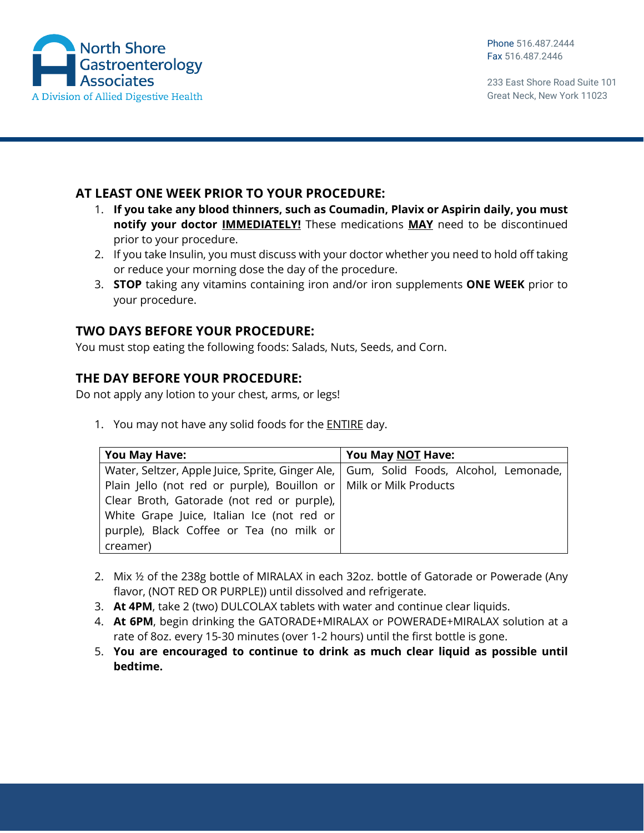

233 East Shore Road Suite 101 Great Neck, New York 11023

### **AT LEAST ONE WEEK PRIOR TO YOUR PROCEDURE:**

- 1. **If you take any blood thinners, such as Coumadin, Plavix or Aspirin daily, you must notify your doctor IMMEDIATELY!** These medications **MAY** need to be discontinued prior to your procedure.
- 2. If you take Insulin, you must discuss with your doctor whether you need to hold off taking or reduce your morning dose the day of the procedure.
- 3. **STOP** taking any vitamins containing iron and/or iron supplements **ONE WEEK** prior to your procedure.

## **TWO DAYS BEFORE YOUR PROCEDURE:**

You must stop eating the following foods: Salads, Nuts, Seeds, and Corn.

### **THE DAY BEFORE YOUR PROCEDURE:**

Do not apply any lotion to your chest, arms, or legs!

1. You may not have any solid foods for the ENTIRE day.

| <b>You May Have:</b>                                                                    | You May NOT Have: |
|-----------------------------------------------------------------------------------------|-------------------|
| Water, Seltzer, Apple Juice, Sprite, Ginger Ale,   Gum, Solid Foods, Alcohol, Lemonade, |                   |
| Plain Jello (not red or purple), Bouillon or   Milk or Milk Products                    |                   |
| Clear Broth, Gatorade (not red or purple),                                              |                   |
| White Grape Juice, Italian Ice (not red or                                              |                   |
| purple), Black Coffee or Tea (no milk or                                                |                   |
| creamer)                                                                                |                   |

- 2. Mix ½ of the 238g bottle of MIRALAX in each 32oz. bottle of Gatorade or Powerade (Any flavor, (NOT RED OR PURPLE)) until dissolved and refrigerate.
- 3. **At 4PM**, take 2 (two) DULCOLAX tablets with water and continue clear liquids.
- 4. **At 6PM**, begin drinking the GATORADE+MIRALAX or POWERADE+MIRALAX solution at a rate of 8oz. every 15‐30 minutes (over 1‐2 hours) until the first bottle is gone.
- 5. **You are encouraged to continue to drink as much clear liquid as possible until bedtime.**